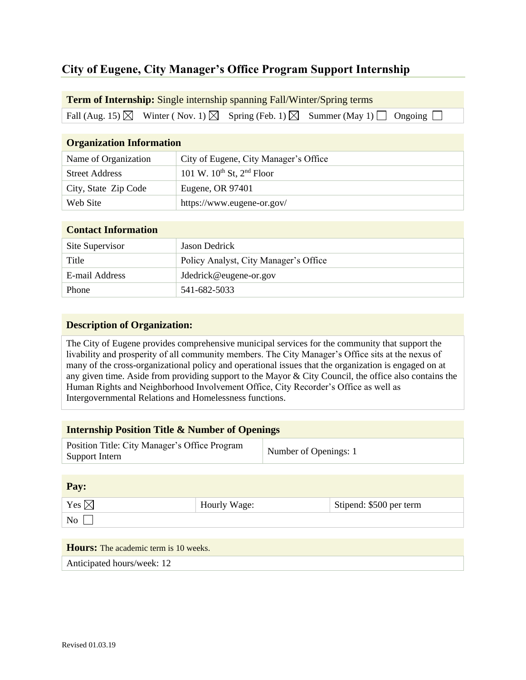# **City of Eugene, City Manager's Office Program Support Internship**

#### **Term of Internship:** Single internship spanning Fall/Winter/Spring terms

Fall (Aug. 15)  $\boxtimes$  Winter (Nov. 1)  $\boxtimes$  Spring (Feb. 1)  $\boxtimes$  Summer (May 1)  $\Box$  Ongoing  $\Box$ 

| <b>Organization Information</b> |                                       |  |
|---------------------------------|---------------------------------------|--|
| Name of Organization            | City of Eugene, City Manager's Office |  |
| <b>Street Address</b>           | 101 W. $10^{th}$ St, $2^{nd}$ Floor   |  |
| City, State Zip Code            | Eugene, OR 97401                      |  |
| Web Site                        | https://www.eugene-or.gov/            |  |

#### **Contact Information**

| Site Supervisor | Jason Dedrick                         |  |
|-----------------|---------------------------------------|--|
| Title           | Policy Analyst, City Manager's Office |  |
| E-mail Address  | Jdedrick@eugene-or.gov                |  |
| Phone           | 541-682-5033                          |  |

### **Description of Organization:**

The City of Eugene provides comprehensive municipal services for the community that support the livability and prosperity of all community members. The City Manager's Office sits at the nexus of many of the cross-organizational policy and operational issues that the organization is engaged on at any given time. Aside from providing support to the Mayor & City Council, the office also contains the Human Rights and Neighborhood Involvement Office, City Recorder's Office as well as Intergovernmental Relations and Homelessness functions.

## **Internship Position Title & Number of Openings**

| Position Title: City Manager's Office Program | Number of Openings: 1 |
|-----------------------------------------------|-----------------------|
| Support Intern                                |                       |

**Pay:**

| Yes $\boxtimes$ | Hourly Wage: | Stipend: $$500$ per term |
|-----------------|--------------|--------------------------|
| No              |              |                          |

# **Hours:** The academic term is 10 weeks.

Anticipated hours/week: 12